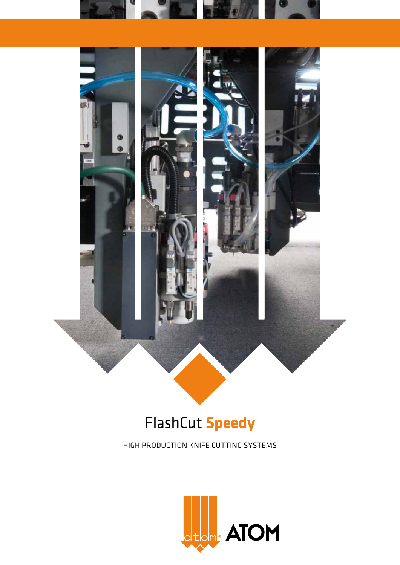



# FlashCut **Speedy**

High production knife cutting systems

![](_page_0_Picture_4.jpeg)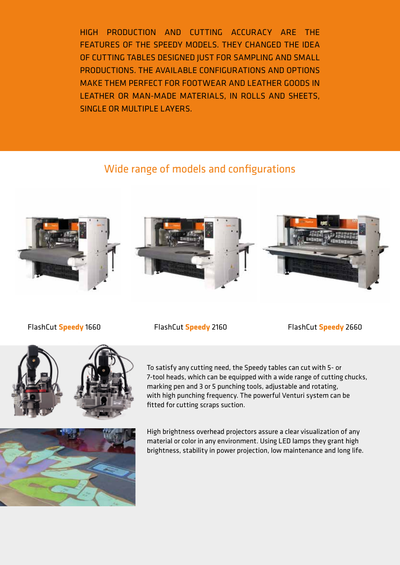High production and cutting accuracy are the features of the Speedy models. They changed the idea of cutting tables designed just for sampling and small productions. The available configurations and options make them perfect for FOOTWEAR and leather goods in leather or man-made materials, in rolls and sheets, single or multiple layers.

## Wide range of models and configurations

![](_page_1_Picture_2.jpeg)

![](_page_1_Picture_3.jpeg)

![](_page_1_Picture_4.jpeg)

FlashCut **Speedy** 1660 FlashCut **Speedy** 2160 FlashCut **Speedy** 2660

![](_page_1_Picture_9.jpeg)

High brightness overhead projectors assure a clear visualization of any material or color in any environment. Using LED lamps they grant high brightness, stability in power projection, low maintenance and long life.

![](_page_1_Picture_11.jpeg)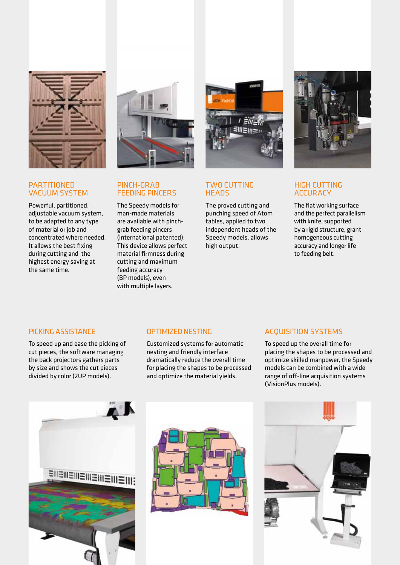![](_page_2_Picture_0.jpeg)

#### **PARTITIONED** VACUUM SYSTEM

Powerful, partitioned, adjustable vacuum system, to be adapted to any type of material or job and concentrated where needed. It allows the best fixing during cutting and the highest energy saving at the same time.

![](_page_2_Picture_3.jpeg)

### PINCH-GRAB FEEDING PINCERS

The Speedy models for man-made materials are available with pinchgrab feeding pincers (international patented). This device allows perfect material firmness during cutting and maximum feeding accuracy (BP models), even with multiple layers.

![](_page_2_Picture_6.jpeg)

#### TWO CUTTING **HEADS**

The proved cutting and punching speed of Atom tables, applied to two independent heads of the Speedy models, allows high output.

![](_page_2_Picture_9.jpeg)

#### HIGH CUTTING ACCURACY

The flat working surface and the perfect parallelism with knife, supported by a rigid structure, grant homogeneous cutting accuracy and longer life to feeding belt.

#### PICKING ASSISTANCE

To speed up and ease the picking of cut pieces, the software managing the back projectors gathers parts by size and shows the cut pieces divided by color (2UP models).

#### OPTIMIZED NESTING

Customized systems for automatic nesting and friendly interface dramatically reduce the overall time for placing the shapes to be processed and optimize the material yields.

#### ACQUISITION SYSTEMS

To speed up the overall time for placing the shapes to be processed and optimize skilled manpower, the Speedy models can be combined with a wide range of off-line acquisition systems (VisionPlus models).

![](_page_2_Picture_18.jpeg)

![](_page_2_Picture_19.jpeg)

![](_page_2_Picture_20.jpeg)